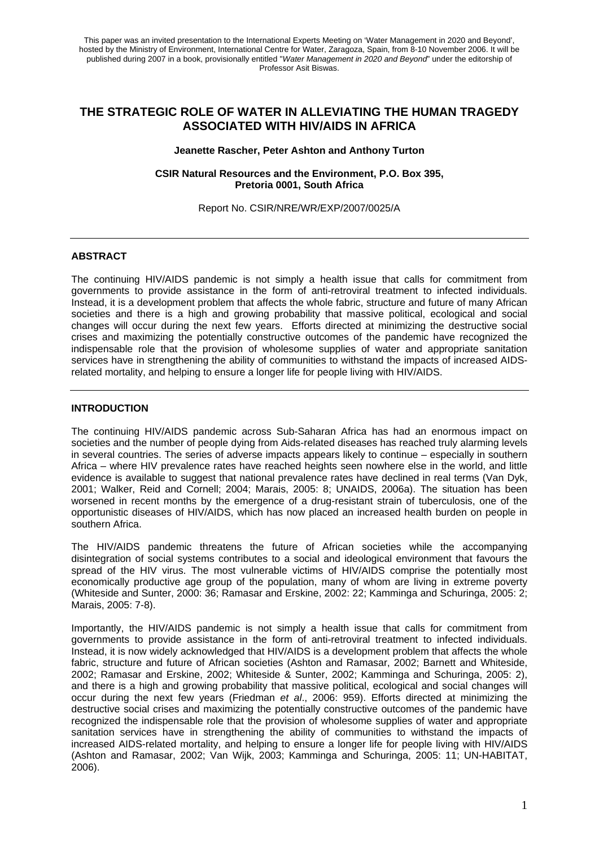# **THE STRATEGIC ROLE OF WATER IN ALLEVIATING THE HUMAN TRAGEDY ASSOCIATED WITH HIV/AIDS IN AFRICA**

#### **Jeanette Rascher, Peter Ashton and Anthony Turton**

#### **CSIR Natural Resources and the Environment, P.O. Box 395, Pretoria 0001, South Africa**

#### Report No. CSIR/NRE/WR/EXP/2007/0025/A

#### **ABSTRACT**

The continuing HIV/AIDS pandemic is not simply a health issue that calls for commitment from governments to provide assistance in the form of anti-retroviral treatment to infected individuals. Instead, it is a development problem that affects the whole fabric, structure and future of many African societies and there is a high and growing probability that massive political, ecological and social changes will occur during the next few years. Efforts directed at minimizing the destructive social crises and maximizing the potentially constructive outcomes of the pandemic have recognized the indispensable role that the provision of wholesome supplies of water and appropriate sanitation services have in strengthening the ability of communities to withstand the impacts of increased AIDSrelated mortality, and helping to ensure a longer life for people living with HIV/AIDS.

#### **INTRODUCTION**

The continuing HIV/AIDS pandemic across Sub-Saharan Africa has had an enormous impact on societies and the number of people dying from Aids-related diseases has reached truly alarming levels in several countries. The series of adverse impacts appears likely to continue – especially in southern Africa – where HIV prevalence rates have reached heights seen nowhere else in the world, and little evidence is available to suggest that national prevalence rates have declined in real terms (Van Dyk, 2001; Walker, Reid and Cornell; 2004; Marais, 2005: 8; UNAIDS, 2006a). The situation has been worsened in recent months by the emergence of a drug-resistant strain of tuberculosis, one of the opportunistic diseases of HIV/AIDS, which has now placed an increased health burden on people in southern Africa.

The HIV/AIDS pandemic threatens the future of African societies while the accompanying disintegration of social systems contributes to a social and ideological environment that favours the spread of the HIV virus. The most vulnerable victims of HIV/AIDS comprise the potentially most economically productive age group of the population, many of whom are living in extreme poverty (Whiteside and Sunter, 2000: 36; Ramasar and Erskine, 2002: 22; Kamminga and Schuringa, 2005: 2; Marais, 2005: 7-8).

Importantly, the HIV/AIDS pandemic is not simply a health issue that calls for commitment from governments to provide assistance in the form of anti-retroviral treatment to infected individuals. Instead, it is now widely acknowledged that HIV/AIDS is a development problem that affects the whole fabric, structure and future of African societies (Ashton and Ramasar, 2002; Barnett and Whiteside, 2002; Ramasar and Erskine, 2002; Whiteside & Sunter, 2002; Kamminga and Schuringa, 2005: 2), and there is a high and growing probability that massive political, ecological and social changes will occur during the next few years (Friedman *et al*., 2006: 959). Efforts directed at minimizing the destructive social crises and maximizing the potentially constructive outcomes of the pandemic have recognized the indispensable role that the provision of wholesome supplies of water and appropriate sanitation services have in strengthening the ability of communities to withstand the impacts of increased AIDS-related mortality, and helping to ensure a longer life for people living with HIV/AIDS (Ashton and Ramasar, 2002; Van Wijk, 2003; Kamminga and Schuringa, 2005: 11; UN-HABITAT, 2006).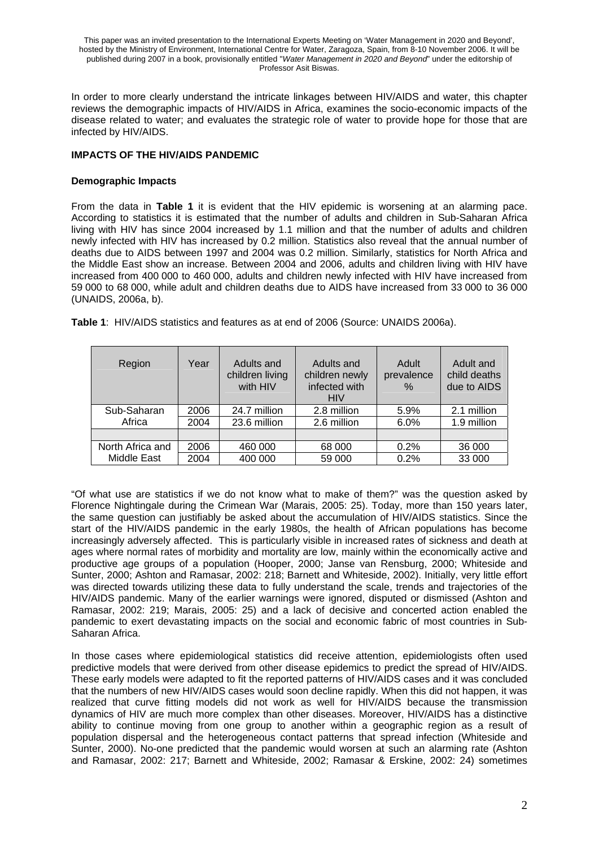In order to more clearly understand the intricate linkages between HIV/AIDS and water, this chapter reviews the demographic impacts of HIV/AIDS in Africa, examines the socio-economic impacts of the disease related to water; and evaluates the strategic role of water to provide hope for those that are infected by HIV/AIDS.

## **IMPACTS OF THE HIV/AIDS PANDEMIC**

#### **Demographic Impacts**

From the data in **Table 1** it is evident that the HIV epidemic is worsening at an alarming pace. According to statistics it is estimated that the number of adults and children in Sub-Saharan Africa living with HIV has since 2004 increased by 1.1 million and that the number of adults and children newly infected with HIV has increased by 0.2 million. Statistics also reveal that the annual number of deaths due to AIDS between 1997 and 2004 was 0.2 million. Similarly, statistics for North Africa and the Middle East show an increase. Between 2004 and 2006, adults and children living with HIV have increased from 400 000 to 460 000, adults and children newly infected with HIV have increased from 59 000 to 68 000, while adult and children deaths due to AIDS have increased from 33 000 to 36 000 (UNAIDS, 2006a, b).

| Region           | Year | Adults and<br>children living<br>with HIV | Adults and<br>children newly<br>infected with<br><b>HIV</b> | Adult<br>prevalence<br>$\%$ | Adult and<br>child deaths<br>due to AIDS |
|------------------|------|-------------------------------------------|-------------------------------------------------------------|-----------------------------|------------------------------------------|
| Sub-Saharan      | 2006 | 24.7 million                              | 2.8 million                                                 | 5.9%                        | 2.1 million                              |
| Africa           | 2004 | 23.6 million                              | 2.6 million                                                 | 6.0%                        | 1.9 million                              |
|                  |      |                                           |                                                             |                             |                                          |
| North Africa and | 2006 | 460 000                                   | 68 000                                                      | 0.2%                        | 36 000                                   |
| Middle East      | 2004 | 400 000                                   | 59 000                                                      | 0.2%                        | 33 000                                   |

**Table 1**: HIV/AIDS statistics and features as at end of 2006 (Source: UNAIDS 2006a).

"Of what use are statistics if we do not know what to make of them?" was the question asked by Florence Nightingale during the Crimean War (Marais, 2005: 25). Today, more than 150 years later, the same question can justifiably be asked about the accumulation of HIV/AIDS statistics. Since the start of the HIV/AIDS pandemic in the early 1980s, the health of African populations has become increasingly adversely affected. This is particularly visible in increased rates of sickness and death at ages where normal rates of morbidity and mortality are low, mainly within the economically active and productive age groups of a population (Hooper, 2000; Janse van Rensburg, 2000; Whiteside and Sunter, 2000; Ashton and Ramasar, 2002: 218; Barnett and Whiteside, 2002). Initially, very little effort was directed towards utilizing these data to fully understand the scale, trends and trajectories of the HIV/AIDS pandemic. Many of the earlier warnings were ignored, disputed or dismissed (Ashton and Ramasar, 2002: 219; Marais, 2005: 25) and a lack of decisive and concerted action enabled the pandemic to exert devastating impacts on the social and economic fabric of most countries in Sub-Saharan Africa.

In those cases where epidemiological statistics did receive attention, epidemiologists often used predictive models that were derived from other disease epidemics to predict the spread of HIV/AIDS. These early models were adapted to fit the reported patterns of HIV/AIDS cases and it was concluded that the numbers of new HIV/AIDS cases would soon decline rapidly. When this did not happen, it was realized that curve fitting models did not work as well for HIV/AIDS because the transmission dynamics of HIV are much more complex than other diseases. Moreover, HIV/AIDS has a distinctive ability to continue moving from one group to another within a geographic region as a result of population dispersal and the heterogeneous contact patterns that spread infection (Whiteside and Sunter, 2000). No-one predicted that the pandemic would worsen at such an alarming rate (Ashton and Ramasar, 2002: 217; Barnett and Whiteside, 2002; Ramasar & Erskine, 2002: 24) sometimes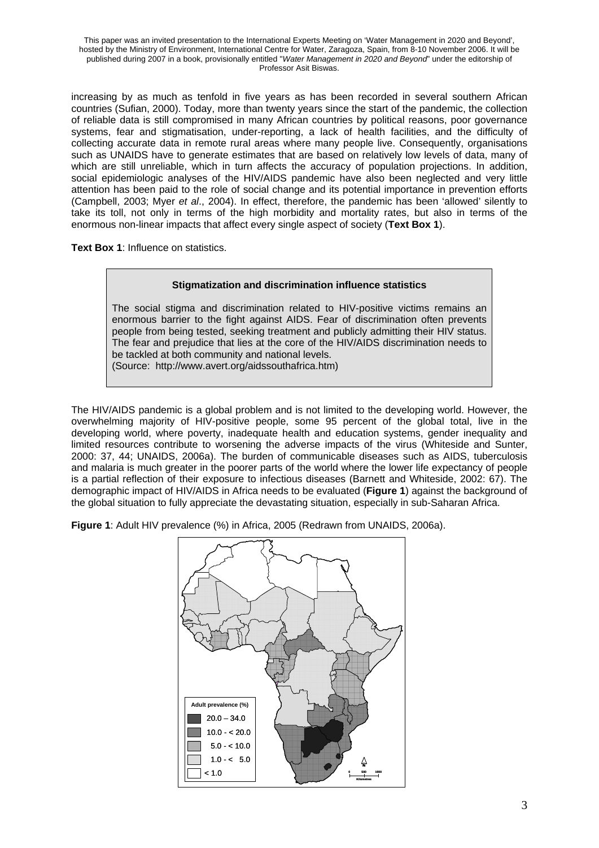increasing by as much as tenfold in five years as has been recorded in several southern African countries (Sufian, 2000). Today, more than twenty years since the start of the pandemic, the collection of reliable data is still compromised in many African countries by political reasons, poor governance systems, fear and stigmatisation, under-reporting, a lack of health facilities, and the difficulty of collecting accurate data in remote rural areas where many people live. Consequently, organisations such as UNAIDS have to generate estimates that are based on relatively low levels of data, many of which are still unreliable, which in turn affects the accuracy of population projections. In addition, social epidemiologic analyses of the HIV/AIDS pandemic have also been neglected and very little attention has been paid to the role of social change and its potential importance in prevention efforts (Campbell, 2003; Myer *et al*., 2004). In effect, therefore, the pandemic has been 'allowed' silently to take its toll, not only in terms of the high morbidity and mortality rates, but also in terms of the enormous non-linear impacts that affect every single aspect of society (**Text Box 1**).

**Text Box 1**: Influence on statistics.

#### **Stigmatization and discrimination influence statistics**

The social stigma and discrimination related to HIV-positive victims remains an enormous barrier to the fight against AIDS. Fear of discrimination often prevents people from being tested, seeking treatment and publicly admitting their HIV status. The fear and prejudice that lies at the core of the HIV/AIDS discrimination needs to be tackled at both community and national levels. (Source: <http://www.avert.org/aidssouthafrica.htm>)

The HIV/AIDS pandemic is a global problem and is not limited to the developing world. However, the overwhelming majority of HIV-positive people, some 95 percent of the global total, live in the developing world, where poverty, inadequate health and education systems, gender inequality and limited resources contribute to worsening the adverse impacts of the virus (Whiteside and Sunter, 2000: 37, 44; UNAIDS, 2006a). The burden of communicable diseases such as AIDS, tuberculosis and malaria is much greater in the poorer parts of the world where the lower life expectancy of people is a partial reflection of their exposure to infectious diseases (Barnett and Whiteside, 2002: 67). The demographic impact of HIV/AIDS in Africa needs to be evaluated (**Figure 1**) against the background of the global situation to fully appreciate the devastating situation, especially in sub-Saharan Africa.

**Figure 1**: Adult HIV prevalence (%) in Africa, 2005 (Redrawn from UNAIDS, 2006a).

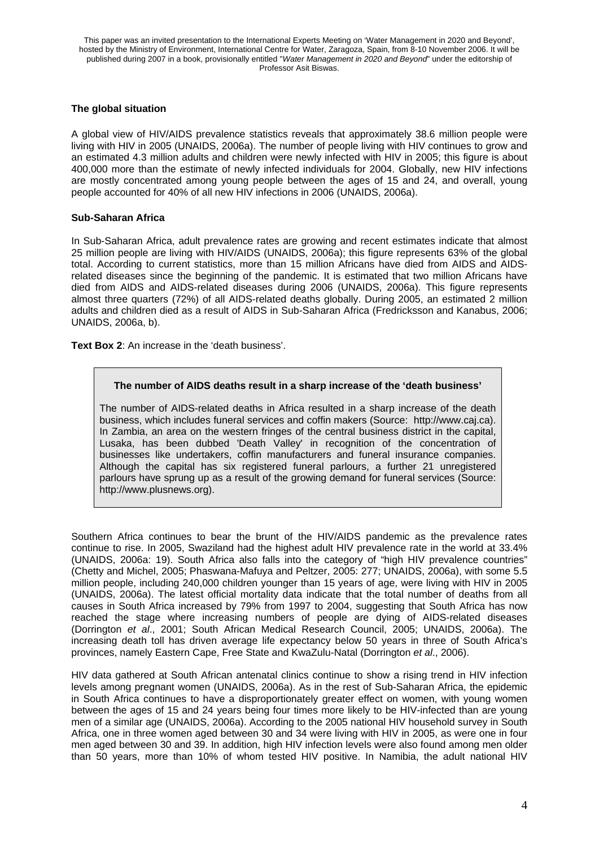## **The global situation**

A global view of HIV/AIDS prevalence statistics reveals that approximately 38.6 million people were living with HIV in 2005 (UNAIDS, 2006a). The number of people living with HIV continues to grow and an estimated 4.3 million adults and children were newly infected with HIV in 2005; this figure is about 400,000 more than the estimate of newly infected individuals for 2004. Globally, new HIV infections are mostly concentrated among young people between the ages of 15 and 24, and overall, young people accounted for 40% of all new HIV infections in 2006 (UNAIDS, 2006a).

## **Sub-Saharan Africa**

In Sub-Saharan Africa, adult prevalence rates are growing and recent estimates indicate that almost 25 million people are living with HIV/AIDS (UNAIDS, 2006a); this figure represents 63% of the global total. According to current statistics, more than 15 million Africans have died from AIDS and AIDSrelated diseases since the beginning of the pandemic. It is estimated that two million Africans have died from AIDS and AIDS-related diseases during 2006 (UNAIDS, 2006a). This figure represents almost three quarters (72%) of all AIDS-related deaths globally. During 2005, an estimated 2 million adults and children died as a result of AIDS in Sub-Saharan Africa ([Fredricksson and Kanabus, 2006;](http://www.unaids.org/en/HIV_data/2006GlobalReport/default.asp)  [UNAIDS, 2006a, b\)](http://www.unaids.org/en/HIV_data/2006GlobalReport/default.asp).

**Text Box 2**: An increase in the 'death business'.

## **The number of AIDS deaths result in a sharp increase of the 'death business'**

The number of AIDS-related deaths in Africa resulted in a sharp increase of the death business, which includes funeral services and coffin makers (Source: [http://www.caj.ca](http://www.caj.ca/)). In Zambia, an area on the western fringes of the central business district in the capital, Lusaka, has been dubbed 'Death Valley' in recognition of the concentration of businesses like undertakers, coffin manufacturers and funeral insurance companies. Although the capital has six registered funeral parlours, a further 21 unregistered parlours have sprung up as a result of the growing demand for funeral services (Source: [http://www.plusnews.org](http://www.plusnews.org/)).

Southern Africa continues to bear the brunt of the HIV/AIDS pandemic as the prevalence rates continue to rise. In 2005, Swaziland had the highest adult HIV prevalence rate in the world at 33.4% (UNAIDS, 2006a: 19). South Africa also falls into the category of "high HIV prevalence countries" (Chetty and Michel, 2005; Phaswana-Mafuya and Peltzer, 2005: 277; UNAIDS, 2006a), with some 5.5 million people, including 240,000 children younger than 15 years of age, were living with HIV in 2005 (UNAIDS, 2006a). The latest official mortality data indicate that the total number of deaths from all causes in South Africa increased by 79% from 1997 to 2004, suggesting that South Africa has now reached the stage where increasing numbers of people are dying of AIDS-related diseases (Dorrington *et al*., 2001; South African Medical Research Council, 2005; UNAIDS, 2006a). The increasing death toll has driven average life expectancy below 50 years in three of South Africa's provinces, namely Eastern Cape, Free State and KwaZulu-Natal (Dorrington *et al*., 2006).

HIV data gathered at South African antenatal clinics continue to show a rising trend in HIV infection levels among pregnant women (UNAIDS, 2006a). As in the rest of Sub-Saharan Africa, the epidemic in South Africa continues to have a disproportionately greater effect on women, with young women between the ages of 15 and 24 years being four times more likely to be HIV-infected than are young men of a similar age (UNAIDS, 2006a). According to the 2005 national HIV household survey in South Africa, one in three women aged between 30 and 34 were living with HIV in 2005, as were one in four men aged between 30 and 39. In addition, high HIV infection levels were also found among men older than 50 years, more than 10% of whom tested HIV positive. In Namibia, the adult national HIV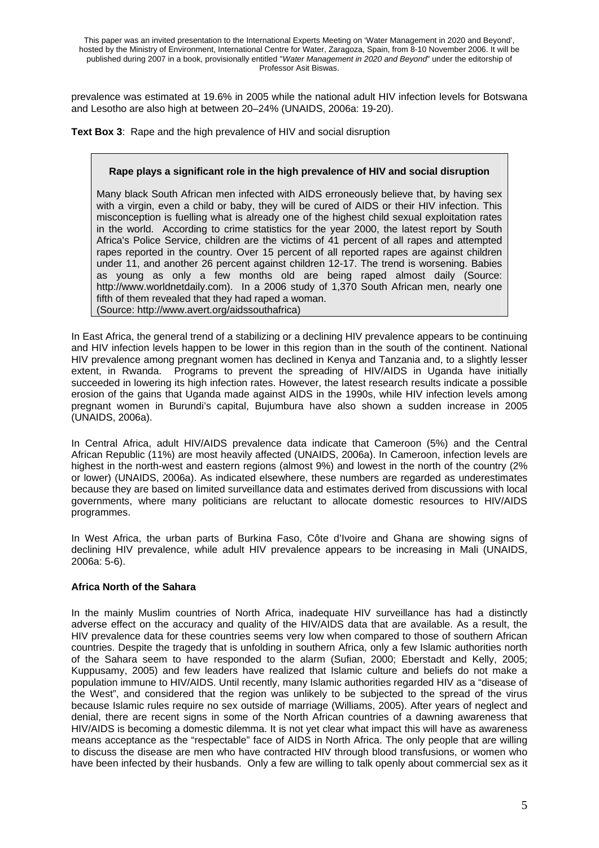prevalence was estimated at 19.6% in 2005 while the national adult HIV infection levels for Botswana and Lesotho are also high at between 20–24% (UNAIDS, 2006a: 19-20).

**Text Box 3:** Rape and the high prevalence of HIV and social disruption

#### **Rape plays a significant role in the high prevalence of HIV and social disruption**

Many black South African men infected with AIDS erroneously believe that, by having sex with a virgin, even a child or baby, they will be cured of AIDS or their HIV infection. This misconception is fuelling what is already one of the highest child sexual exploitation rates in the world. According to crime statistics for the year 2000, the latest report by South Africa's Police Service, children are the victims of 41 percent of all rapes and attempted rapes reported in the country. Over 15 percent of all reported rapes are against children under 11, and another 26 percent against children 12-17. The trend is worsening. Babies as young as only a few months old are being raped almost daily (Source: [http://www.worldnetdaily.com\)](http://www.worldnetdaily.com/). In a 2006 study of 1,370 South African men, nearly one fifth of them revealed that they had raped a woman. (Source: [http://www.avert.org/aidssouthafrica\)](http://www.avert.org/aidssouthafrica)

In East Africa, the general trend of a stabilizing or a declining HIV prevalence appears to be continuing and HIV infection levels happen to be lower in this region than in the south of the continent. National HIV prevalence among pregnant women has declined in Kenya and Tanzania and, to a slightly lesser extent, in Rwanda. Programs to prevent the spreading of HIV/AIDS in Uganda have initially succeeded in lowering its high infection rates. However, the latest research results indicate a possible erosion of the gains that Uganda made against AIDS in the 1990s, while HIV infection levels among pregnant women in Burundi's capital, Bujumbura have also shown a sudden increase in 2005 (UNAIDS, 2006a).

In Central Africa, adult HIV/AIDS prevalence data indicate that Cameroon (5%) and the Central African Republic (11%) are most heavily affected (UNAIDS, 2006a). In Cameroon, infection levels are highest in the north-west and eastern regions (almost 9%) and lowest in the north of the country (2% or lower) (UNAIDS, 2006a). As indicated elsewhere, these numbers are regarded as underestimates because they are based on limited surveillance data and estimates derived from discussions with local governments, where many politicians are reluctant to allocate domestic resources to HIV/AIDS programmes.

In West Africa, the urban parts of Burkina Faso, Côte d'Ivoire and Ghana are showing signs of declining HIV prevalence, while adult HIV prevalence appears to be increasing in Mali (UNAIDS, 2006a: 5-6).

## **Africa North of the Sahara**

In the mainly Muslim countries of North Africa, inadequate HIV surveillance has had a distinctly adverse effect on the accuracy and quality of the HIV/AIDS data that are available. As a result, the HIV prevalence data for these countries seems very low when compared to those of southern African countries. Despite the tragedy that is unfolding in southern Africa, only a few Islamic authorities north of the Sahara seem to have responded to the alarm (Sufian, 2000; Eberstadt and Kelly, 2005; Kuppusamy, 2005) and few leaders have realized that Islamic culture and beliefs do not make a population immune to HIV/AIDS. Until recently, many Islamic authorities regarded HIV as a "disease of the West", and considered that the region was unlikely to be subjected to the spread of the virus because Islamic rules require no sex outside of marriage (Williams, 2005). After years of neglect and denial, there are recent signs in some of the North African countries of a dawning awareness that HIV/AIDS is becoming a domestic dilemma. It is not yet clear what impact this will have as awareness means acceptance as the "respectable" face of AIDS in North Africa. The only people that are willing to discuss the disease are men who have contracted HIV through blood transfusions, or women who have been infected by their husbands. Only a few are willing to talk openly about commercial sex as it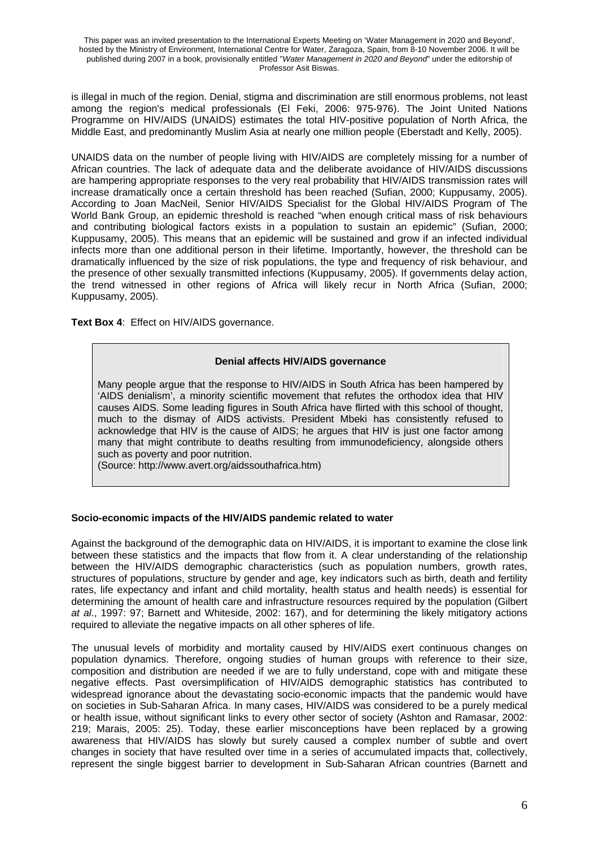is illegal in much of the region. Denial, stigma and discrimination are still enormous problems, not least among the region's medical professionals (El Feki, 2006: 975-976). The Joint United Nations Programme on HIV/AIDS (UNAIDS) estimates the total HIV-positive population of North Africa, the Middle East, and predominantly Muslim Asia at nearly one million people (Eberstadt and Kelly, 2005).

UNAIDS data on the number of people living with HIV/AIDS are completely missing for a number of African countries. The lack of adequate data and the deliberate avoidance of HIV/AIDS discussions are hampering appropriate responses to the very real probability that HIV/AIDS transmission rates will increase dramatically once a certain threshold has been reached (Sufian, 2000; Kuppusamy, 2005). According to Joan MacNeil, Senior HIV/AIDS Specialist for the Global HIV/AIDS Program of The World Bank Group, an epidemic threshold is reached "when enough critical mass of risk behaviours and contributing biological factors exists in a population to sustain an epidemic" (Sufian, 2000; Kuppusamy, 2005). This means that an epidemic will be sustained and grow if an infected individual infects more than one additional person in their lifetime. Importantly, however, the threshold can be dramatically influenced by the size of risk populations, the type and frequency of risk behaviour, and the presence of other sexually transmitted infections (Kuppusamy, 2005). If governments delay action, the trend witnessed in other regions of Africa will likely recur in North Africa (Sufian, 2000; Kuppusamy, 2005).

**Text Box 4**: Effect on HIV/AIDS governance.

#### **Denial affects HIV/AIDS governance**

Many people argue that the response to HIV/AIDS in South Africa has been hampered by 'AIDS denialism', a minority scientific movement that refutes the orthodox idea that HIV causes AIDS. Some leading figures in South Africa have flirted with this school of thought, much to the dismay of AIDS activists. President Mbeki has consistently refused to acknowledge that HIV is the cause of AIDS; he argues that HIV is just one factor among many that might contribute to deaths resulting from immunodeficiency, alongside others such as poverty and poor nutrition.

(Source: http://www.avert.org/aidssouthafrica.htm)

#### **Socio-economic impacts of the HIV/AIDS pandemic related to water**

Against the background of the demographic data on HIV/AIDS, it is important to examine the close link between these statistics and the impacts that flow from it. A clear understanding of the relationship between the HIV/AIDS demographic characteristics (such as population numbers, growth rates, structures of populations, structure by gender and age, key indicators such as birth, death and fertility rates, life expectancy and infant and child mortality, health status and health needs) is essential for determining the amount of health care and infrastructure resources required by the population (Gilbert *at al*., 1997: 97; Barnett and Whiteside, 2002: 167), and for determining the likely mitigatory actions required to alleviate the negative impacts on all other spheres of life.

The unusual levels of morbidity and mortality caused by HIV/AIDS exert continuous changes on population dynamics. Therefore, ongoing studies of human groups with reference to their size, composition and distribution are needed if we are to fully understand, cope with and mitigate these negative effects. Past oversimplification of HIV/AIDS demographic statistics has contributed to widespread ignorance about the devastating socio-economic impacts that the pandemic would have on societies in Sub-Saharan Africa. In many cases, HIV/AIDS was considered to be a purely medical or health issue, without significant links to every other sector of society (Ashton and Ramasar, 2002: 219; Marais, 2005: 25). Today, these earlier misconceptions have been replaced by a growing awareness that HIV/AIDS has slowly but surely caused a complex number of subtle and overt changes in society that have resulted over time in a series of accumulated impacts that, collectively, represent the single biggest barrier to development in Sub-Saharan African countries (Barnett and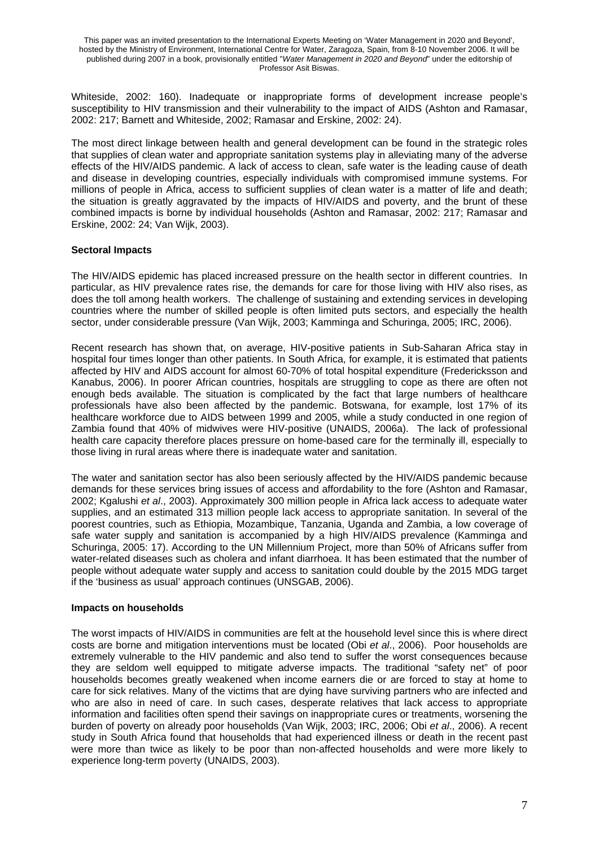Whiteside, 2002: 160). Inadequate or inappropriate forms of development increase people's susceptibility to HIV transmission and their vulnerability to the impact of AIDS (Ashton and Ramasar, 2002: 217; Barnett and Whiteside, 2002; Ramasar and Erskine, 2002: 24).

The most direct linkage between health and general development can be found in the strategic roles that supplies of clean water and appropriate sanitation systems play in alleviating many of the adverse effects of the HIV/AIDS pandemic. A lack of access to clean, safe water is the leading cause of death and disease in developing countries, especially individuals with compromised immune systems. For millions of people in Africa, access to sufficient supplies of clean water is a matter of life and death; the situation is greatly aggravated by the impacts of HIV/AIDS and poverty, and the brunt of these combined impacts is borne by individual households (Ashton and Ramasar, 2002: 217; Ramasar and Erskine, 2002: 24; Van Wijk, 2003).

## **Sectoral Impacts**

The HIV/AIDS epidemic has placed increased pressure on the health sector in different countries. In particular, as HIV prevalence rates rise, the demands for care for those living with HIV also rises, as does the toll among health workers. The challenge of sustaining and extending services in developing countries where the number of skilled people is often limited puts sectors, and especially the health sector, under considerable pressure (Van Wijk, 2003; Kamminga and Schuringa, 2005; IRC, 2006).

Recent research has shown that, on average, HIV-positive patients in Sub-Saharan Africa stay in hospital four times longer than other patients. In South Africa, for example, it is estimated that patients affected by HIV and AIDS account for almost 60-70% of total hospital expenditure (Fredericksson and Kanabus, 2006). In poorer African countries, hospitals are struggling to cope as there are often not enough beds available. The situation is complicated by the fact that large numbers of healthcare professionals have also been affected by the pandemic. Botswana, for example, lost 17% of its healthcare workforce due to AIDS between 1999 and 2005, while a study conducted in one region of Zambia found that 40% of midwives were HIV-positive (UNAIDS, 2006a). The lack of professional health care capacity therefore places pressure on home-based care for the terminally ill, especially to those living in rural areas where there is inadequate water and sanitation.

The water and sanitation sector has also been seriously affected by the HIV/AIDS pandemic because demands for these services bring issues of access and affordability to the fore (Ashton and Ramasar, 2002; Kgalushi *et al*., 2003). Approximately 300 million people in Africa lack access to adequate water supplies, and an estimated 313 million people lack access to appropriate sanitation. In several of the poorest countries, such as Ethiopia, Mozambique, Tanzania, Uganda and Zambia, a low coverage of safe water supply and sanitation is accompanied by a high HIV/AIDS prevalence (Kamminga and Schuringa, 2005: 17). According to the UN Millennium Project, more than 50% of Africans suffer from water-related diseases such as cholera and infant diarrhoea. It has been estimated that the number of people without adequate water supply and access to sanitation could double by the 2015 MDG target if the 'business as usual' approach continues (UNSGAB, 2006).

#### **Impacts on households**

The worst impacts of HIV/AIDS in communities are felt at the household level since this is where direct costs are borne and mitigation interventions must be located (Obi *et al*., 2006). Poor households are extremely vulnerable to the HIV pandemic and also tend to suffer the worst consequences because they are seldom well equipped to mitigate adverse impacts. The traditional "safety net" of poor households becomes greatly weakened when income earners die or are forced to stay at home to care for sick relatives. Many of the victims that are dying have surviving partners who are infected and who are also in need of care. In such cases, desperate relatives that lack access to appropriate information and facilities often spend their savings on inappropriate cures or treatments, worsening the burden of poverty on already poor households (Van Wijk, 2003; IRC, 2006; Obi *et al*., 2006). A recent study in South Africa found that households that had experienced illness or death in the recent past were more than twice as likely to be poor than non-affected households and were more likely to experience long-term poverty (UNAIDS, 2003).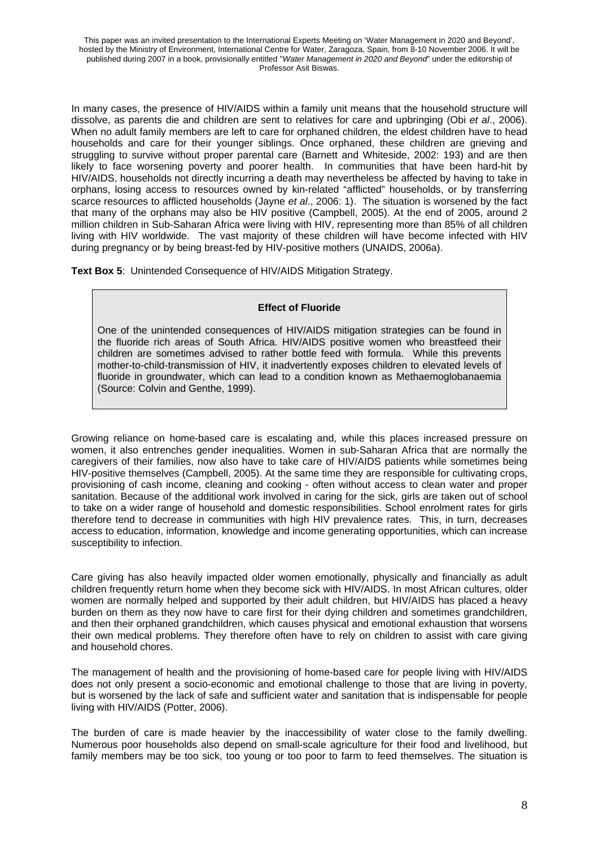In many cases, the presence of HIV/AIDS within a family unit means that the household structure will dissolve, as parents die and children are sent to relatives for care and upbringing (Obi *et al*., 2006). When no adult family members are left to care for orphaned children, the eldest children have to head households and care for their younger siblings. Once orphaned, these children are grieving and struggling to survive without proper parental care (Barnett and Whiteside, 2002: 193) and are then likely to face worsening poverty and poorer health. In communities that have been hard-hit by HIV/AIDS, households not directly incurring a death may nevertheless be affected by having to take in orphans, losing access to resources owned by kin-related "afflicted" households, or by transferring scarce resources to afflicted households (Jayne *et al*., 2006: 1). The situation is worsened by the fact that many of the orphans may also be HIV positive (Campbell, 2005). At the end of 2005, around 2 million children in Sub-Saharan Africa were living with HIV, representing more than 85% of all children living with HIV worldwide. The vast majority of these children will have become infected with HIV during pregnancy or by being breast-fed by HIV-positive mothers (UNAIDS, 2006a).

**Text Box 5: Unintended Consequence of HIV/AIDS Mitigation Strategy.** 

## **Effect of Fluoride**

One of the unintended consequences of HIV/AIDS mitigation strategies can be found in the fluoride rich areas of South Africa. HIV/AIDS positive women who breastfeed their children are sometimes advised to rather bottle feed with formula. While this prevents mother-to-child-transmission of HIV, it inadvertently exposes children to elevated levels of fluoride in groundwater, which can lead to a condition known as Methaemoglobanaemia (Source: Colvin and Genthe, 1999).

Growing reliance on home-based care is escalating and, while this places increased pressure on women, it also entrenches gender inequalities. Women in sub-Saharan Africa that are normally the caregivers of their families, now also have to take care of HIV/AIDS patients while sometimes being HIV-positive themselves (Campbell, 2005). At the same time they are responsible for cultivating crops, provisioning of cash income, cleaning and cooking - often without access to clean water and proper sanitation. Because of the additional work involved in caring for the sick, girls are taken out of school to take on a wider range of household and domestic responsibilities. School enrolment rates for girls therefore tend to decrease in communities with high HIV prevalence rates. This, in turn, decreases access to education, information, knowledge and income generating opportunities, which can increase susceptibility to infection.

Care giving has also heavily impacted older women emotionally, physically and financially as adult children frequently return home when they become sick with HIV/AIDS. In most African cultures, older women are normally helped and supported by their adult children, but HIV/AIDS has placed a heavy burden on them as they now have to care first for their dying children and sometimes grandchildren, and then their orphaned grandchildren, which causes physical and emotional exhaustion that worsens their own medical problems. They therefore often have to rely on children to assist with care giving and household chores.

The management of health and the provisioning of home-based care for people living with HIV/AIDS does not only present a socio-economic and emotional challenge to those that are living in poverty, but is worsened by the lack of safe and sufficient water and sanitation that is indispensable for people living with HIV/AIDS (Potter, 2006).

The burden of care is made heavier by the inaccessibility of water close to the family dwelling. Numerous poor households also depend on small-scale agriculture for their food and livelihood, but family members may be too sick, too young or too poor to farm to feed themselves. The situation is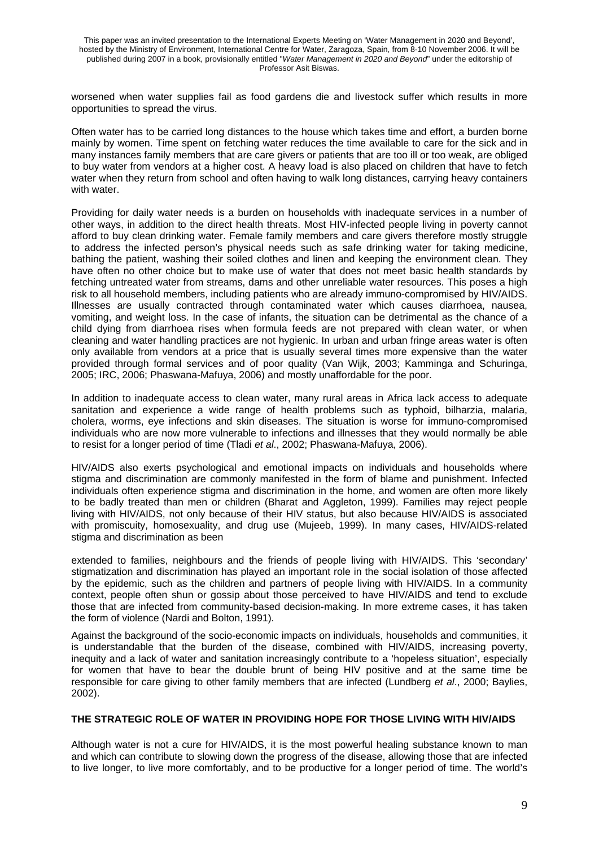worsened when water supplies fail as food gardens die and livestock suffer which results in more opportunities to spread the virus.

Often water has to be carried long distances to the house which takes time and effort, a burden borne mainly by women. Time spent on fetching water reduces the time available to care for the sick and in many instances family members that are care givers or patients that are too ill or too weak, are obliged to buy water from vendors at a higher cost. A heavy load is also placed on children that have to fetch water when they return from school and often having to walk long distances, carrying heavy containers with water.

Providing for daily water needs is a burden on households with inadequate services in a number of other ways, in addition to the direct health threats. Most HIV-infected people living in poverty cannot afford to buy clean drinking water. Female family members and care givers therefore mostly struggle to address the infected person's physical needs such as safe drinking water for taking medicine, bathing the patient, washing their soiled clothes and linen and keeping the environment clean. They have often no other choice but to make use of water that does not meet basic health standards by fetching untreated water from streams, dams and other unreliable water resources. This poses a high risk to all household members, including patients who are already immuno-compromised by HIV/AIDS. Illnesses are usually contracted through contaminated water which causes diarrhoea, nausea, vomiting, and weight loss. In the case of infants, the situation can be detrimental as the chance of a child dying from diarrhoea rises when formula feeds are not prepared with clean water, or when cleaning and water handling practices are not hygienic. In urban and urban fringe areas water is often only available from vendors at a price that is usually several times more expensive than the water provided through formal services and of poor quality (Van Wijk, 2003; Kamminga and Schuringa, 2005; IRC, 2006; Phaswana-Mafuya, 2006) and mostly unaffordable for the poor.

In addition to inadequate access to clean water, many rural areas in Africa lack access to adequate sanitation and experience a wide range of health problems such as typhoid, bilharzia, malaria, cholera, worms, eye infections and skin diseases. The situation is worse for immuno-compromised individuals who are now more vulnerable to infections and illnesses that they would normally be able to resist for a longer period of time (Tladi *et al*., 2002; Phaswana-Mafuya, 2006).

HIV/AIDS also exerts psychological and emotional impacts on individuals and households where stigma and discrimination are commonly manifested in the form of blame and punishment. Infected individuals often experience stigma and discrimination in the home, and women are often more likely to be badly treated than men or children (Bharat and Aggleton, 1999). Families may reject people living with HIV/AIDS, not only because of their HIV status, but also because HIV/AIDS is associated with promiscuity, homosexuality, and drug use (Mujeeb, 1999). In many cases, HIV/AIDS-related stigma and discrimination as been

extended to families, neighbours and the friends of people living with HIV/AIDS. This 'secondary' stigmatization and discrimination has played an important role in the social isolation of those affected by the epidemic, such as the children and partners of people living with HIV/AIDS. In a community context, people often shun or gossip about those perceived to have HIV/AIDS and tend to exclude those that are infected from community-based decision-making. In more extreme cases, it has taken the form of violence (Nardi and Bolton, 1991).

Against the background of the socio-economic impacts on individuals, households and communities, it is understandable that the burden of the disease, combined with HIV/AIDS, increasing poverty, inequity and a lack of water and sanitation increasingly contribute to a 'hopeless situation', especially for women that have to bear the double brunt of being HIV positive and at the same time be responsible for care giving to other family members that are infected (Lundberg *et al*., 2000; Baylies, 2002).

## **THE STRATEGIC ROLE OF WATER IN PROVIDING HOPE FOR THOSE LIVING WITH HIV/AIDS**

Although water is not a cure for HIV/AIDS, it is the most powerful healing substance known to man and which can contribute to slowing down the progress of the disease, allowing those that are infected to live longer, to live more comfortably, and to be productive for a longer period of time. The world's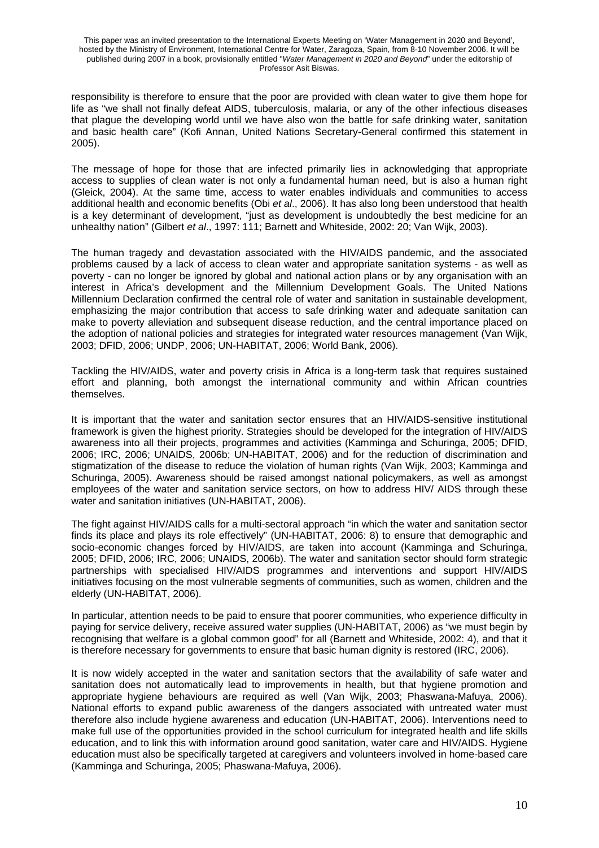responsibility is therefore to ensure that the poor are provided with clean water to give them hope for life as "we shall not finally defeat AIDS, tuberculosis, malaria, or any of the other infectious diseases that plague the developing world until we have also won the battle for safe drinking water, sanitation and basic health care" (Kofi Annan, United Nations Secretary-General confirmed this statement in 2005).

The message of hope for those that are infected primarily lies in acknowledging that appropriate access to supplies of clean water is not only a fundamental human need, but is also a human right (Gleick, 2004). At the same time, access to water enables individuals and communities to access additional health and economic benefits (Obi *et al*., 2006). It has also long been understood that health is a key determinant of development, "just as development is undoubtedly the best medicine for an unhealthy nation" (Gilbert *et al*., 1997: 111; Barnett and Whiteside, 2002: 20; Van Wijk, 2003).

The human tragedy and devastation associated with the HIV/AIDS pandemic, and the associated problems caused by a lack of access to clean water and appropriate sanitation systems - as well as poverty - can no longer be ignored by global and national action plans or by any organisation with an interest in Africa's development and the Millennium Development Goals. The United Nations Millennium Declaration confirmed the central role of water and sanitation in sustainable development, emphasizing the major contribution that access to safe drinking water and adequate sanitation can make to poverty alleviation and subsequent disease reduction, and the central importance placed on the adoption of national policies and strategies for integrated water resources management (Van Wijk, 2003; DFID, 2006; UNDP, 2006; UN-HABITAT, 2006; World Bank, 2006).

Tackling the HIV/AIDS, water and poverty crisis in Africa is a long-term task that requires sustained effort and planning, both amongst the international community and within African countries themselves.

It is important that the water and sanitation sector ensures that an HIV/AIDS-sensitive institutional framework is given the highest priority. Strategies should be developed for the integration of HIV/AIDS awareness into all their projects, programmes and activities (Kamminga and Schuringa, 2005; DFID, 2006; IRC, 2006; UNAIDS, 2006b; UN-HABITAT, 2006) and for the reduction of discrimination and stigmatization of the disease to reduce the violation of human rights (Van Wijk, 2003; Kamminga and Schuringa, 2005). Awareness should be raised amongst national policymakers, as well as amongst employees of the water and sanitation service sectors, on how to address HIV/ AIDS through these water and sanitation initiatives (UN-HABITAT, 2006).

The fight against HIV/AIDS calls for a multi-sectoral approach "in which the water and sanitation sector finds its place and plays its role effectively" (UN-HABITAT, 2006: 8) to ensure that demographic and socio-economic changes forced by HIV/AIDS, are taken into account (Kamminga and Schuringa, 2005; DFID, 2006; IRC, 2006; UNAIDS, 2006b). The water and sanitation sector should form strategic partnerships with specialised HIV/AIDS programmes and interventions and support HIV/AIDS initiatives focusing on the most vulnerable segments of communities, such as women, children and the elderly (UN-HABITAT, 2006).

In particular, attention needs to be paid to ensure that poorer communities, who experience difficulty in paying for service delivery, receive assured water supplies (UN-HABITAT, 2006) as "we must begin by recognising that welfare is a global common good" for all (Barnett and Whiteside, 2002: 4), and that it is therefore necessary for governments to ensure that basic human dignity is restored (IRC, 2006).

It is now widely accepted in the water and sanitation sectors that the availability of safe water and sanitation does not automatically lead to improvements in health, but that hygiene promotion and appropriate hygiene behaviours are required as well (Van Wijk, 2003; Phaswana-Mafuya, 2006). National efforts to expand public awareness of the dangers associated with untreated water must therefore also include hygiene awareness and education (UN-HABITAT, 2006). Interventions need to make full use of the opportunities provided in the school curriculum for integrated health and life skills education, and to link this with information around good sanitation, water care and HIV/AIDS. Hygiene education must also be specifically targeted at caregivers and volunteers involved in home-based care (Kamminga and Schuringa, 2005; Phaswana-Mafuya, 2006).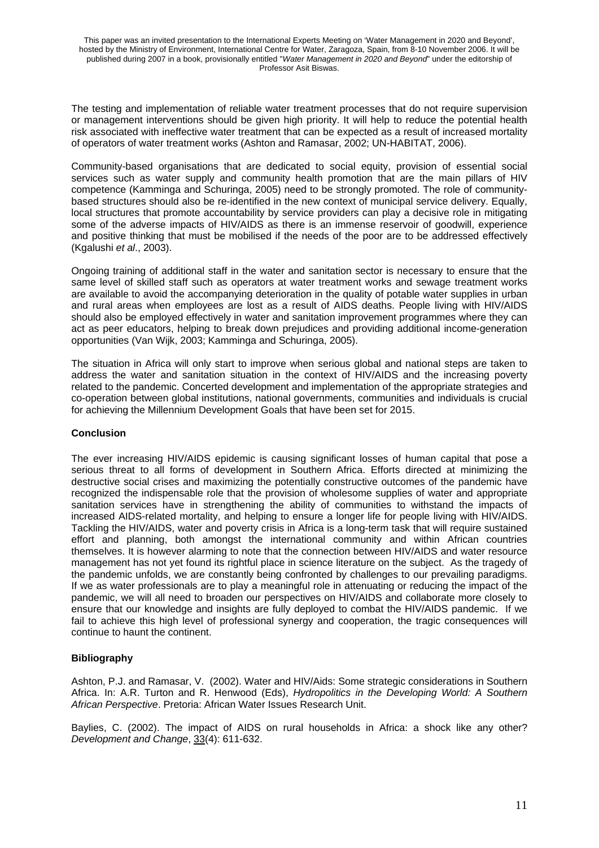The testing and implementation of reliable water treatment processes that do not require supervision or management interventions should be given high priority. It will help to reduce the potential health risk associated with ineffective water treatment that can be expected as a result of increased mortality of operators of water treatment works (Ashton and Ramasar, 2002; UN-HABITAT, 2006).

Community-based organisations that are dedicated to social equity, provision of essential social services such as water supply and community health promotion that are the main pillars of HIV competence (Kamminga and Schuringa, 2005) need to be strongly promoted. The role of communitybased structures should also be re-identified in the new context of municipal service delivery. Equally, local structures that promote accountability by service providers can play a decisive role in mitigating some of the adverse impacts of HIV/AIDS as there is an immense reservoir of goodwill, experience and positive thinking that must be mobilised if the needs of the poor are to be addressed effectively (Kgalushi *et al*., 2003).

Ongoing training of additional staff in the water and sanitation sector is necessary to ensure that the same level of skilled staff such as operators at water treatment works and sewage treatment works are available to avoid the accompanying deterioration in the quality of potable water supplies in urban and rural areas when employees are lost as a result of AIDS deaths. People living with HIV/AIDS should also be employed effectively in water and sanitation improvement programmes where they can act as peer educators, helping to break down prejudices and providing additional income-generation opportunities (Van Wijk, 2003; Kamminga and Schuringa, 2005).

The situation in Africa will only start to improve when serious global and national steps are taken to address the water and sanitation situation in the context of HIV/AIDS and the increasing poverty related to the pandemic. Concerted development and implementation of the appropriate strategies and co-operation between global institutions, national governments, communities and individuals is crucial for achieving the Millennium Development Goals that have been set for 2015.

## **Conclusion**

The ever increasing HIV/AIDS epidemic is causing significant losses of human capital that pose a serious threat to all forms of development in Southern Africa. Efforts directed at minimizing the destructive social crises and maximizing the potentially constructive outcomes of the pandemic have recognized the indispensable role that the provision of wholesome supplies of water and appropriate sanitation services have in strengthening the ability of communities to withstand the impacts of increased AIDS-related mortality, and helping to ensure a longer life for people living with HIV/AIDS. Tackling the HIV/AIDS, water and poverty crisis in Africa is a long-term task that will require sustained effort and planning, both amongst the international community and within African countries themselves. It is however alarming to note that the connection between HIV/AIDS and water resource management has not yet found its rightful place in science literature on the subject. As the tragedy of the pandemic unfolds, we are constantly being confronted by challenges to our prevailing paradigms. If we as water professionals are to play a meaningful role in attenuating or reducing the impact of the pandemic, we will all need to broaden our perspectives on HIV/AIDS and collaborate more closely to ensure that our knowledge and insights are fully deployed to combat the HIV/AIDS pandemic. If we fail to achieve this high level of professional synergy and cooperation, the tragic consequences will continue to haunt the continent.

## **Bibliography**

Ashton, P.J. and Ramasar, V. (2002). Water and HIV/Aids: Some strategic considerations in Southern Africa. In: A.R. Turton and R. Henwood (Eds), *Hydropolitics in the Developing World: A Southern African Perspective*. Pretoria: African Water Issues Research Unit.

Baylies, C. (2002). The impact of AIDS on rural households in Africa: a shock like any other? *Development and Change*, 33(4): 611-632.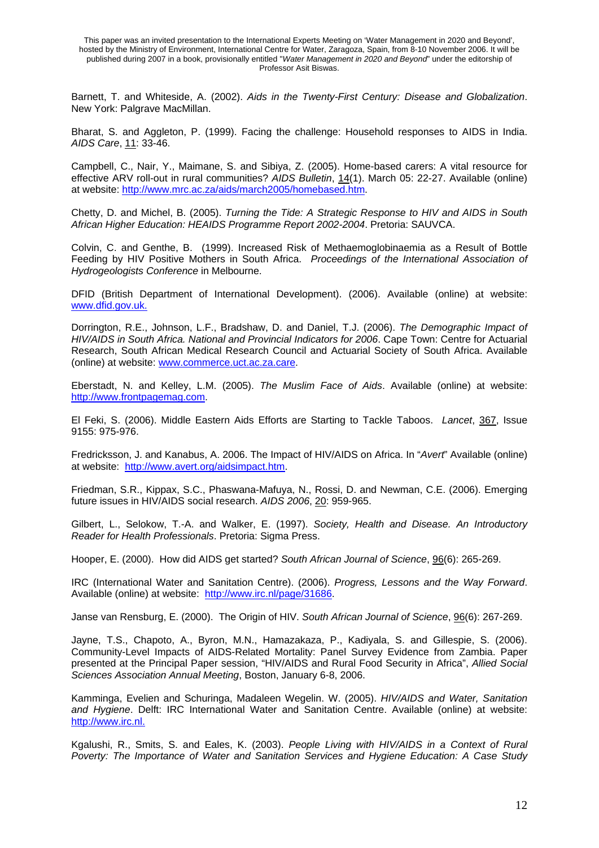Barnett, T. and Whiteside, A. (2002). *Aids in the Twenty-First Century: Disease and Globalization*. New York: Palgrave MacMillan.

Bharat, S. and Aggleton, P. (1999). Facing the challenge: Household responses to AIDS in India. *AIDS Care*, 11: 33-46.

Campbell, C., Nair, Y., Maimane, S. and Sibiya, Z. (2005). Home-based carers: A vital resource for effective ARV roll-out in rural communities? *AIDS Bulletin*, 14(1). March 05: 22-27. Available (online) at website: [http://www.mrc.ac.za/aids/march2005/homebased.htm.](http://www.mrc.ac.za/aids/march2005/homebased.htm)

Chetty, D. and Michel, B. (2005). *Turning the Tide: A Strategic Response to HIV and AIDS in South African Higher Education: HEAIDS Programme Report 2002-2004*. Pretoria: SAUVCA.

Colvin, C. and Genthe, B. (1999). Increased Risk of Methaemoglobinaemia as a Result of Bottle Feeding by HIV Positive Mothers in South Africa. *Proceedings of the International Association of Hydrogeologists Conference* in Melbourne.

DFID (British Department of International Development). (2006). Available (online) at website: [www.dfid.gov.uk.](http://www.dfid.gov.uk/)

Dorrington, R.E., Johnson, L.F., Bradshaw, D. and Daniel, T.J. (2006). *The Demographic Impact of HIV/AIDS in South Africa. National and Provincial Indicators for 2006*. Cape Town: Centre for Actuarial Research, South African Medical Research Council and Actuarial Society of South Africa. Available (online) at website: [www.commerce.uct.ac.za.care.](http://www.commerce.uct.ac.za.care/)

Eberstadt, N. and Kelley, L.M. (2005). *The Muslim Face of Aids*. Available (online) at website: [http://www.frontpagemag.com.](http://www.frontpagemag.com/)

El Feki, S. (2006). Middle Eastern Aids Efforts are Starting to Tackle Taboos. *Lancet*, 367, Issue 9155: 975-976.

Fredricksson, J. and Kanabus, A. 2006. The Impact of HIV/AIDS on Africa. In "*Avert*" Available (online) at website: <http://www.avert.org/aidsimpact.htm>.

Friedman, S.R., Kippax, S.C., Phaswana-Mafuya, N., Rossi, D. and Newman, C.E. (2006). Emerging future issues in HIV/AIDS social research. *AIDS 2006*, 20: 959-965.

Gilbert, L., Selokow, T.-A. and Walker, E. (1997). *Society, Health and Disease. An Introductory Reader for Health Professionals*. Pretoria: Sigma Press.

Hooper, E. (2000). How did AIDS get started? *South African Journal of Science*, 96(6): 265-269.

IRC (International Water and Sanitation Centre). (2006). *Progress, Lessons and the Way Forward*. Available (online) at website: <http://www.irc.nl/page/31686>.

Janse van Rensburg, E. (2000). The Origin of HIV. *South African Journal of Science*, 96(6): 267-269.

Jayne, T.S., Chapoto, A., Byron, M.N., Hamazakaza, P., Kadiyala, S. and Gillespie, S. (2006). Community-Level Impacts of AIDS-Related Mortality: Panel Survey Evidence from Zambia. Paper presented at the Principal Paper session, "HIV/AIDS and Rural Food Security in Africa", *Allied Social Sciences Association Annual Meeting*, Boston, January 6-8, 2006.

Kamminga, Evelien and Schuringa, Madaleen Wegelin. W. (2005). *HIV/AIDS and Water, Sanitation and Hygiene*. Delft: IRC International Water and Sanitation Centre. Available (online) at website: http://www.irc.nl.

Kgalushi, R., Smits, S. and Eales, K. (2003). *People Living with HIV/AIDS in a Context of Rural Poverty: The Importance of Water and Sanitation Services and Hygiene Education: A Case Study*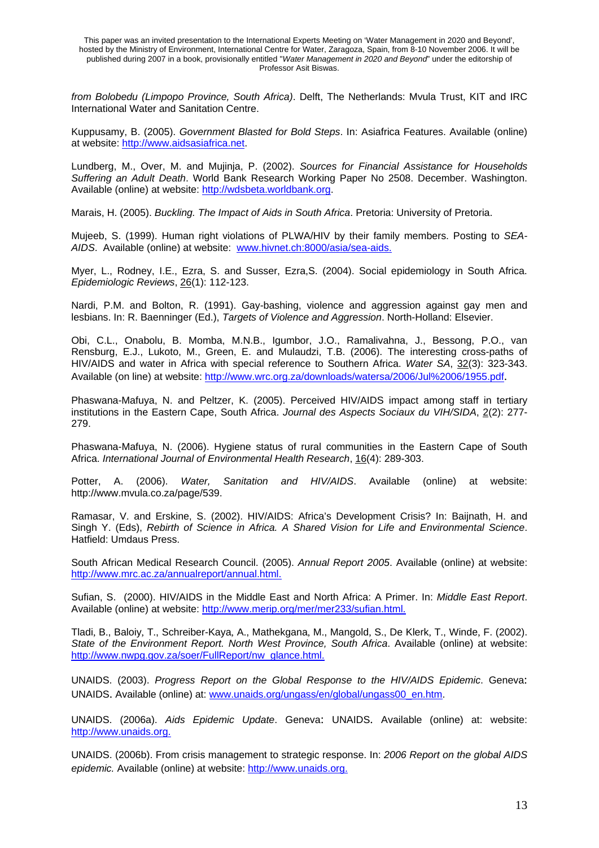*from Bolobedu (Limpopo Province, South Africa)*. Delft, The Netherlands: Mvula Trust, KIT and IRC International Water and Sanitation Centre.

Kuppusamy, B. (2005). *Government Blasted for Bold Steps*. In: Asiafrica Features. Available (online) at website: [http://www.aidsasiafrica.net](http://www.aidsasiafrica.net/).

Lundberg, M., Over, M. and Mujinja, P. (2002). *Sources for Financial Assistance for Households Suffering an Adult Death*. World Bank Research Working Paper No 2508. December. Washington. Available (online) at website: [http://wdsbeta.worldbank.org.](http://wdsbeta.worldbank.org/)

Marais, H. (2005). *Buckling. The Impact of Aids in South Africa*. Pretoria: University of Pretoria.

Mujeeb, S. (1999). Human right violations of PLWA/HIV by their family members. Posting to *SEA-AIDS*. Available (online) at website: www.hivnet.ch:8000/asia/sea-aids.

Myer, L., Rodney, I.E., Ezra, S. and Susser, Ezra,S. (2004). Social epidemiology in South Africa. *Epidemiologic Reviews*, 26(1): 112-123.

Nardi, P.M. and Bolton, R. (1991). Gay-bashing, violence and aggression against gay men and lesbians. In: R. Baenninger (Ed.), *Targets of Violence and Aggression*. North-Holland: Elsevier.

Obi, C.L., Onabolu, B. Momba, M.N.B., Igumbor, J.O., Ramalivahna, J., Bessong, P.O., van Rensburg, E.J., Lukoto, M., Green, E. and Mulaudzi, T.B. (2006). The interesting cross-paths of HIV/AIDS and water in Africa with special reference to Southern Africa. *Water SA*, 32(3): 323-343. Available (on line) at website: <http://www.wrc.org.za/downloads/watersa/2006/Jul%2006/1955.pdf>.

Phaswana-Mafuya, N. and Peltzer, K. (2005). Perceived HIV/AIDS impact among staff in tertiary institutions in the Eastern Cape, South Africa. *Journal des Aspects Sociaux du VIH/SIDA*, 2(2): 277- 279.

Phaswana-Mafuya, N. (2006). Hygiene status of rural communities in the Eastern Cape of South Africa. *International Journal of Environmental Health Research*, 16(4): 289-303.

Potter, A. (2006). *Water, Sanitation and HIV/AIDS*. Available (online) at website: http://www.mvula.co.za/page/539.

Ramasar, V. and Erskine, S. (2002). HIV/AIDS: Africa's Development Crisis? In: Baijnath, H. and Singh Y. (Eds), *Rebirth of Science in Africa. A Shared Vision for Life and Environmental Science*. Hatfield: Umdaus Press.

South African Medical Research Council. (2005). *[Annual Report](http://www.mrc.ac.za/annualreport/annual.html) 2005*. Available (online) at website: http://www.mrc.ac.za/annualreport/annual.html.

Sufian, S. (2000). HIV/AIDS in the Middle East and North Africa: A Primer. In: *Middle East Report*. Available (online) at website: http://www.merip.org/mer/mer233/sufian.html.

Tladi, B., Baloiy, T., Schreiber-Kaya, A., Mathekgana, M., Mangold, S., De Klerk, T., Winde, F. (2002). *State of the Environment Report. North West Province, South Africa*. Available (online) at website: http://www.nwpg.gov.za/soer/FullReport/nw\_glance.html.

UNAIDS. (2003). *Progress Report on the Global Response to the HIV/AIDS Epidemic*. Geneva: UNAIDS. Available (online) at: [www.unaids.org/ungass/en/global/ungass00\\_en.htm.](http://www.unaids.org/ungass/en/global/ungass00_en.htm)

UNAIDS. (2006a). *Aids Epidemic Update*. Geneva: UNAIDS. Available (online) at: website: [http://www.](http://www/)unaids.org.

UNAIDS. (2006b). From crisis management to strategic response. In: *2006 Report on the global AIDS epidemic.* Available (online) at website: [http://www](http://www/).unaids.org.